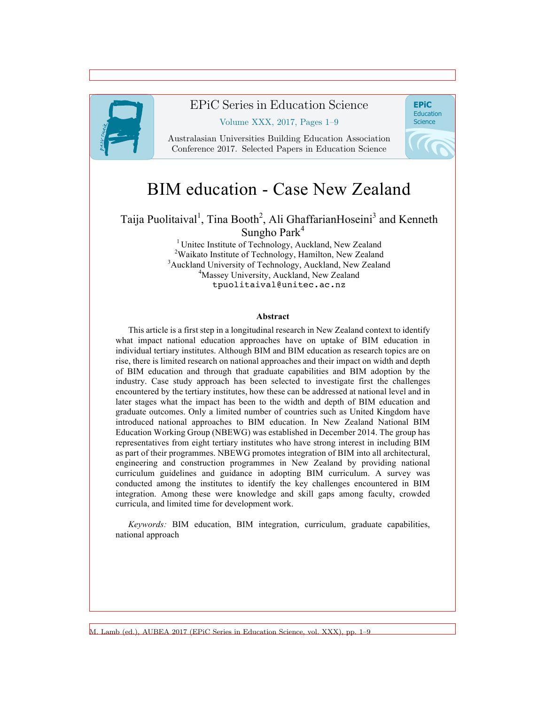

### EPiC Series in Education Science

#### Volume XXX, 2017, Pages 1–9

Australasian Universities Building Education Association Conference 2017. Selected Papers in Education Science



# BIM education - Case New Zealand

#### Taija Puolitaival<sup>1</sup>, Tina Booth<sup>2</sup>, Ali GhaffarianHoseini<sup>3</sup> and Kenneth Sungho Park $4$

<sup>1</sup> Unitec Institute of Technology, Auckland, New Zealand <sup>2</sup>Waikato Institute of Technology, Hamilton, New Zealand <sup>3</sup>Auckland University of Technology, Auckland, New Zealand <sup>4</sup>Massey University, Auckland, New Zealand tpuolitaival@unitec.ac.nz

#### **Abstract**

This article is a first step in a longitudinal research in New Zealand context to identify what impact national education approaches have on uptake of BIM education in individual tertiary institutes. Although BIM and BIM education as research topics are on rise, there is limited research on national approaches and their impact on width and depth of BIM education and through that graduate capabilities and BIM adoption by the industry. Case study approach has been selected to investigate first the challenges encountered by the tertiary institutes, how these can be addressed at national level and in later stages what the impact has been to the width and depth of BIM education and graduate outcomes. Only a limited number of countries such as United Kingdom have introduced national approaches to BIM education. In New Zealand National BIM Education Working Group (NBEWG) was established in December 2014. The group has representatives from eight tertiary institutes who have strong interest in including BIM as part of their programmes. NBEWG promotes integration of BIM into all architectural, engineering and construction programmes in New Zealand by providing national curriculum guidelines and guidance in adopting BIM curriculum. A survey was conducted among the institutes to identify the key challenges encountered in BIM integration. Among these were knowledge and skill gaps among faculty, crowded curricula, and limited time for development work.

*Keywords:* BIM education, BIM integration, curriculum, graduate capabilities, national approach

M. Lamb (ed.), AUBEA 2017 (EPiC Series in Education Science, vol. XXX), pp. 1–9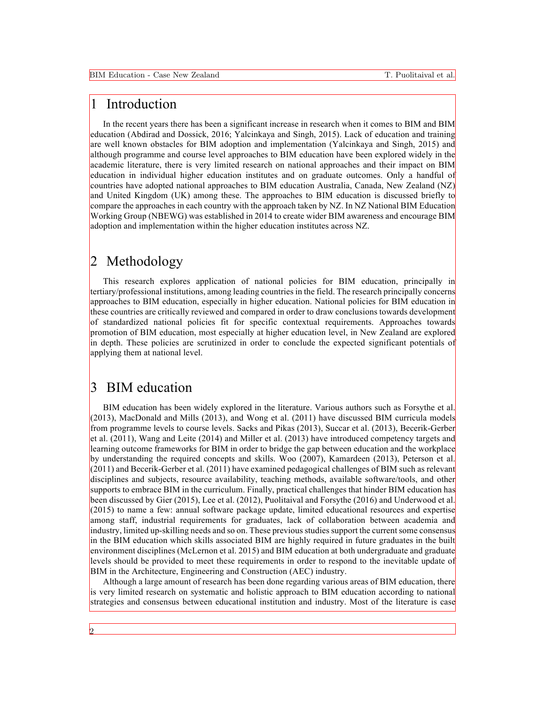## 1 Introduction

In the recent years there has been a significant increase in research when it comes to BIM and BIM education (Abdirad and Dossick, 2016; Yalcinkaya and Singh, 2015). Lack of education and training are well known obstacles for BIM adoption and implementation (Yalcinkaya and Singh, 2015) and although programme and course level approaches to BIM education have been explored widely in the academic literature, there is very limited research on national approaches and their impact on BIM education in individual higher education institutes and on graduate outcomes. Only a handful of countries have adopted national approaches to BIM education Australia, Canada, New Zealand (NZ) and United Kingdom (UK) among these. The approaches to BIM education is discussed briefly to compare the approaches in each country with the approach taken by NZ. In NZ National BIM Education Working Group (NBEWG) was established in 2014 to create wider BIM awareness and encourage BIM adoption and implementation within the higher education institutes across NZ.

### 2 Methodology

This research explores application of national policies for BIM education, principally in tertiary/professional institutions, among leading countries in the field. The research principally concerns approaches to BIM education, especially in higher education. National policies for BIM education in these countries are critically reviewed and compared in order to draw conclusions towards development of standardized national policies fit for specific contextual requirements. Approaches towards promotion of BIM education, most especially at higher education level, in New Zealand are explored in depth. These policies are scrutinized in order to conclude the expected significant potentials of applying them at national level.

### 3 BIM education

BIM education has been widely explored in the literature. Various authors such as Forsythe et al. (2013), MacDonald and Mills (2013), and Wong et al. (2011) have discussed BIM curricula models from programme levels to course levels. Sacks and Pikas (2013), Succar et al. (2013), Becerik-Gerber et al. (2011), Wang and Leite (2014) and Miller et al. (2013) have introduced competency targets and learning outcome frameworks for BIM in order to bridge the gap between education and the workplace by understanding the required concepts and skills. Woo (2007), Kamardeen (2013), Peterson et al. (2011) and Becerik-Gerber et al. (2011) have examined pedagogical challenges of BIM such as relevant disciplines and subjects, resource availability, teaching methods, available software/tools, and other supports to embrace BIM in the curriculum. Finally, practical challenges that hinder BIM education has been discussed by Gier (2015), Lee et al. (2012), Puolitaival and Forsythe (2016) and Underwood et al.  $(2015)$  to name a few: annual software package update, limited educational resources and expertise among staff, industrial requirements for graduates, lack of collaboration between academia and industry, limited up-skilling needs and so on. These previous studies support the current some consensus in the BIM education which skills associated BIM are highly required in future graduates in the built environment disciplines (McLernon et al. 2015) and BIM education at both undergraduate and graduate levels should be provided to meet these requirements in order to respond to the inevitable update of BIM in the Architecture, Engineering and Construction (AEC) industry.

Although a large amount of research has been done regarding various areas of BIM education, there is very limited research on systematic and holistic approach to BIM education according to national strategies and consensus between educational institution and industry. Most of the literature is case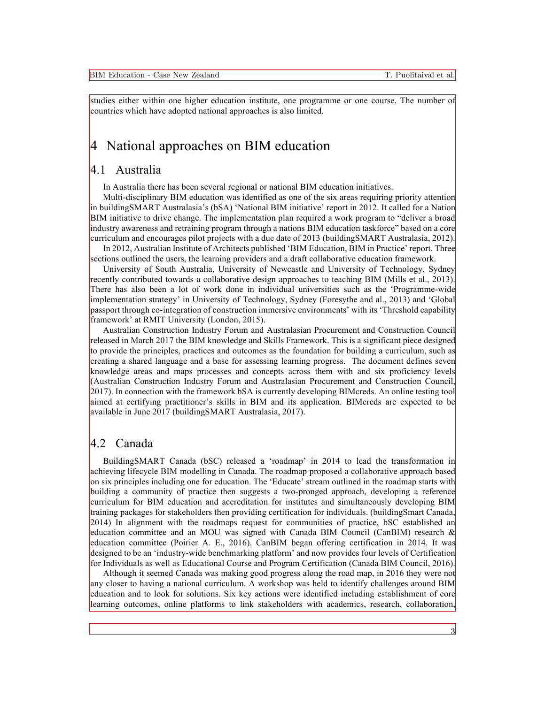studies either within one higher education institute, one programme or one course. The number of countries which have adopted national approaches is also limited.

### 4 National approaches on BIM education

#### 4.1 Australia

In Australia there has been several regional or national BIM education initiatives.

Multi-disciplinary BIM education was identified as one of the six areas requiring priority attention in buildingSMART Australasia's (bSA) 'National BIM initiative' report in 2012. It called for a Nation BIM initiative to drive change. The implementation plan required a work program to "deliver a broad industry awareness and retraining program through a nations BIM education taskforce" based on a core curriculum and encourages pilot projects with a due date of 2013 (buildingSMART Australasia, 2012).

In 2012, Australian Institute of Architects published 'BIM Education, BIM in Practice' report. Three sections outlined the users, the learning providers and a draft collaborative education framework.

University of South Australia, University of Newcastle and University of Technology, Sydney recently contributed towards a collaborative design approaches to teaching BIM (Mills et al., 2013). There has also been a lot of work done in individual universities such as the 'Programme-wide implementation strategy' in University of Technology, Sydney (Foresythe and al., 2013) and 'Global passport through co-integration of construction immersive environments' with its 'Threshold capability framework' at RMIT University (London, 2015).

Australian Construction Industry Forum and Australasian Procurement and Construction Council released in March 2017 the BIM knowledge and Skills Framework. This is a significant piece designed to provide the principles, practices and outcomes as the foundation for building a curriculum, such as creating a shared language and a base for assessing learning progress. The document defines seven knowledge areas and maps processes and concepts across them with and six proficiency levels (Australian Construction Industry Forum and Australasian Procurement and Construction Council, 2017). In connection with the framework bSA is currently developing BIMcreds. An online testing tool aimed at certifying practitioner's skills in BIM and its application. BIMcreds are expected to be available in June 2017 (buildingSMART Australasia, 2017).

#### 4.2 Canada

BuildingSMART Canada (bSC) released a 'roadmap' in 2014 to lead the transformation in achieving lifecycle BIM modelling in Canada. The roadmap proposed a collaborative approach based on six principles including one for education. The 'Educate' stream outlined in the roadmap starts with building a community of practice then suggests a two-pronged approach, developing a reference curriculum for BIM education and accreditation for institutes and simultaneously developing BIM training packages for stakeholders then providing certification for individuals. (buildingSmart Canada, 2014) In alignment with the roadmaps request for communities of practice, bSC established an education committee and an MOU was signed with Canada BIM Council (CanBIM) research  $\&$ education committee (Poirier A. E., 2016). CanBIM began offering certification in 2014. It was designed to be an 'industry-wide benchmarking platform' and now provides four levels of Certification for Individuals as well as Educational Course and Program Certification (Canada BIM Council, 2016).

Although it seemed Canada was making good progress along the road map, in 2016 they were not any closer to having a national curriculum. A workshop was held to identify challenges around BIM education and to look for solutions. Six key actions were identified including establishment of core learning outcomes, online platforms to link stakeholders with academics, research, collaboration,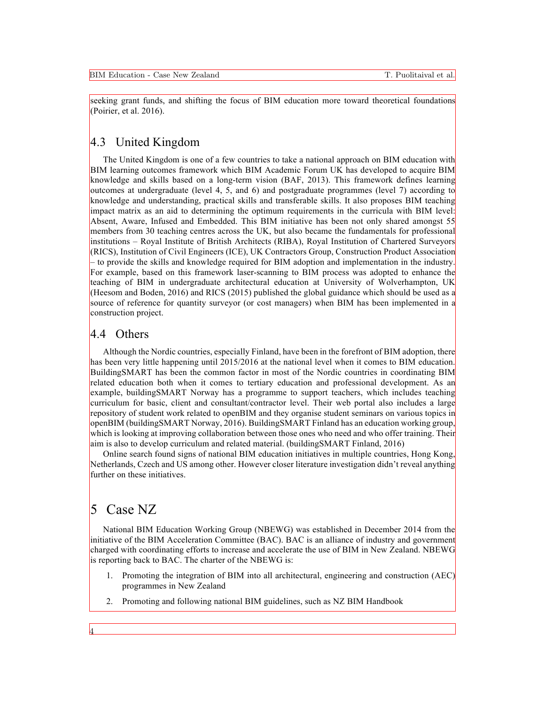seeking grant funds, and shifting the focus of BIM education more toward theoretical foundations (Poirier, et al. 2016).

#### 4.3 United Kingdom

The United Kingdom is one of a few countries to take a national approach on BIM education with BIM learning outcomes framework which BIM Academic Forum UK has developed to acquire BIM knowledge and skills based on a long-term vision (BAF, 2013). This framework defines learning outcomes at undergraduate (level 4, 5, and 6) and postgraduate programmes (level 7) according to knowledge and understanding, practical skills and transferable skills. It also proposes BIM teaching impact matrix as an aid to determining the optimum requirements in the curricula with BIM level: Absent, Aware, Infused and Embedded. This BIM initiative has been not only shared amongst 55 members from 30 teaching centres across the UK, but also became the fundamentals for professional institutions – Royal Institute of British Architects (RIBA), Royal Institution of Chartered Surveyors (RICS), Institution of Civil Engineers (ICE), UK Contractors Group, Construction Product Association – to provide the skills and knowledge required for BIM adoption and implementation in the industry. For example, based on this framework laser-scanning to BIM process was adopted to enhance the teaching of BIM in undergraduate architectural education at University of Wolverhampton, UK (Heesom and Boden, 2016) and RICS (2015) published the global guidance which should be used as a source of reference for quantity surveyor (or cost managers) when BIM has been implemented in a construction project.

#### 4.4 Others

Although the Nordic countries, especially Finland, have been in the forefront of BIM adoption, there has been very little happening until 2015/2016 at the national level when it comes to BIM education. BuildingSMART has been the common factor in most of the Nordic countries in coordinating BIM related education both when it comes to tertiary education and professional development. As an example, buildingSMART Norway has a programme to support teachers, which includes teaching curriculum for basic, client and consultant/contractor level. Their web portal also includes a large repository of student work related to openBIM and they organise student seminars on various topics in openBIM (buildingSMART Norway, 2016). BuildingSMART Finland has an education working group, which is looking at improving collaboration between those ones who need and who offer training. Their aim is also to develop curriculum and related material. (buildingSMART Finland, 2016)

Online search found signs of national BIM education initiatives in multiple countries, Hong Kong, Netherlands, Czech and US among other. However closer literature investigation didn't reveal anything further on these initiatives.

### 5 Case NZ

4

National BIM Education Working Group (NBEWG) was established in December 2014 from the initiative of the BIM Acceleration Committee (BAC). BAC is an alliance of industry and government charged with coordinating efforts to increase and accelerate the use of BIM in New Zealand. NBEWG is reporting back to BAC. The charter of the NBEWG is:

- 1. Promoting the integration of BIM into all architectural, engineering and construction (AEC) programmes in New Zealand
- 2. Promoting and following national BIM guidelines, such as NZ BIM Handbook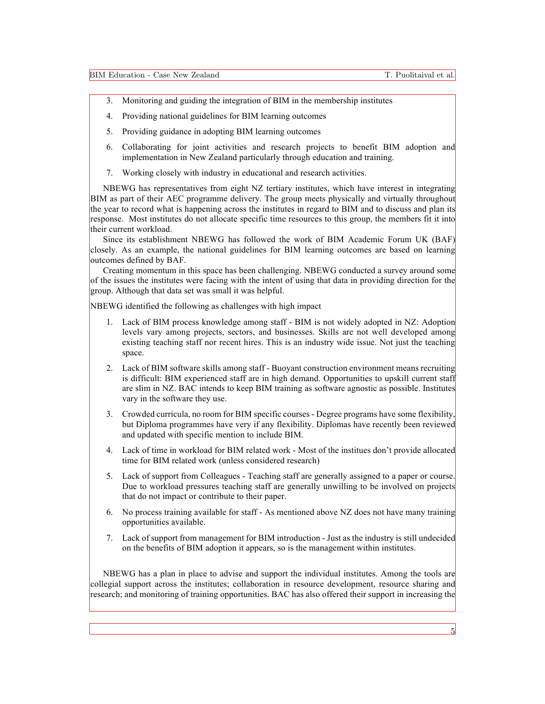- 3. Monitoring and guiding the integration of BIM in the membership institutes
- 4. Providing national guidelines for BIM learning outcomes
- 5. Providing guidance in adopting BIM learning outcomes
- 6. Collaborating for joint activities and research projects to benefit BIM adoption and implementation in New Zealand particularly through education and training.
- 7. Working closely with industry in educational and research activities.

NBEWG has representatives from eight NZ tertiary institutes, which have interest in integrating BIM as part of their AEC programme delivery. The group meets physically and virtually throughout the year to record what is happening across the institutes in regard to BIM and to discuss and plan its response. Most institutes do not allocate specific time resources to this group, the members fit it into their current workload.

Since its establishment NBEWG has followed the work of BIM Academic Forum UK (BAF) closely. As an example, the national guidelines for BIM learning outcomes are based on learning outcomes defined by BAF.

Creating momentum in this space has been challenging. NBEWG conducted a survey around some of the issues the institutes were facing with the intent of using that data in providing direction for the group. Although that data set was small it was helpful.

NBEWG identified the following as challenges with high impact

- 1. Lack of BIM process knowledge among staff BIM is not widely adopted in NZ: Adoption levels vary among projects, sectors, and businesses. Skills are not well developed among existing teaching staff nor recent hires. This is an industry wide issue. Not just the teaching space.
- 2. Lack of BIM software skills among staff Buoyant construction environment means recruiting is difficult: BIM experienced staff are in high demand. Opportunities to upskill current staff are slim in NZ. BAC intends to keep BIM training as software agnostic as possible. Institutes vary in the software they use.
- 3. Crowded curricula, no room for BIM specific courses Degree programs have some flexibility, but Diploma programmes have very if any flexibility. Diplomas have recently been reviewed and updated with specific mention to include BIM.
- 4. Lack of time in workload for BIM related work Most of the institues don't provide allocated time for BIM related work (unless considered research)
- 5. Lack of support from Colleagues Teaching staff are generally assigned to a paper or course. Due to workload pressures teaching staff are generally unwilling to be involved on projects that do not impact or contribute to their paper.
- 6. No process training available for staff As mentioned above NZ does not have many training opportunities available.
- 7. Lack of support from management for BIM introduction Just as the industry is still undecided on the benefits of BIM adoption it appears, so is the management within institutes.

NBEWG has a plan in place to advise and support the individual institutes. Among the tools are collegial support across the institutes; collaboration in resource development, resource sharing and research; and monitoring of training opportunities. BAC has also offered their support in increasing the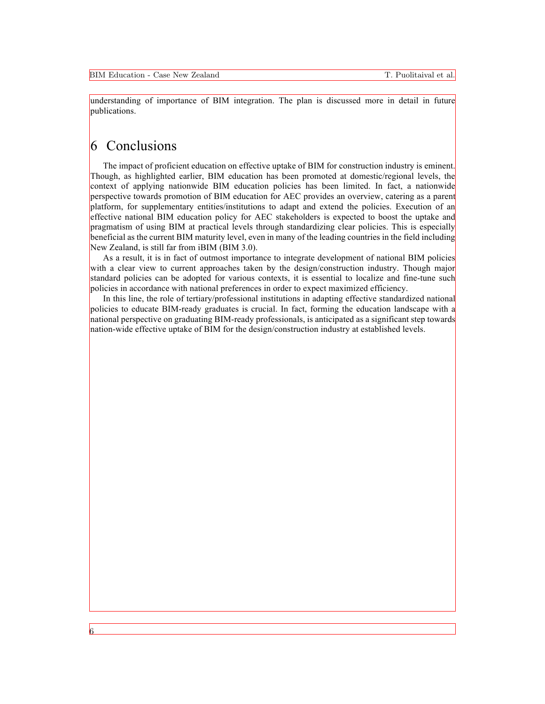understanding of importance of BIM integration. The plan is discussed more in detail in future publications.

# 6 Conclusions

6

The impact of proficient education on effective uptake of BIM for construction industry is eminent. Though, as highlighted earlier, BIM education has been promoted at domestic/regional levels, the context of applying nationwide BIM education policies has been limited. In fact, a nationwide perspective towards promotion of BIM education for AEC provides an overview, catering as a parent platform, for supplementary entities/institutions to adapt and extend the policies. Execution of an effective national BIM education policy for AEC stakeholders is expected to boost the uptake and pragmatism of using BIM at practical levels through standardizing clear policies. This is especially beneficial as the current BIM maturity level, even in many of the leading countries in the field including New Zealand, is still far from iBIM (BIM 3.0).

As a result, it is in fact of outmost importance to integrate development of national BIM policies with a clear view to current approaches taken by the design/construction industry. Though major standard policies can be adopted for various contexts, it is essential to localize and fine-tune such policies in accordance with national preferences in order to expect maximized efficiency.

In this line, the role of tertiary/professional institutions in adapting effective standardized national policies to educate BIM-ready graduates is crucial. In fact, forming the education landscape with a national perspective on graduating BIM-ready professionals, is anticipated as a significant step towards nation-wide effective uptake of BIM for the design/construction industry at established levels.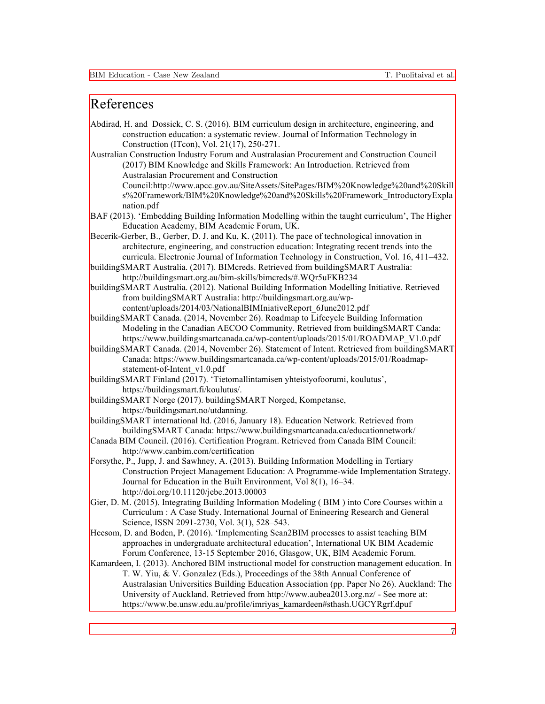### References

- Abdirad, H. and Dossick, C. S. (2016). BIM curriculum design in architecture, engineering, and construction education: a systematic review. Journal of Information Technology in Construction (ITcon), Vol. 21(17), 250-271.
- Australian Construction Industry Forum and Australasian Procurement and Construction Council (2017) BIM Knowledge and Skills Framework: An Introduction. Retrieved from Australasian Procurement and Construction

Council:http://www.apcc.gov.au/SiteAssets/SitePages/BIM%20Knowledge%20and%20Skill s%20Framework/BIM%20Knowledge%20and%20Skills%20Framework\_IntroductoryExpla nation.pdf

BAF (2013). 'Embedding Building Information Modelling within the taught curriculum', The Higher Education Academy, BIM Academic Forum, UK.

Becerik-Gerber, B., Gerber, D. J. and Ku, K. (2011). The pace of technological innovation in architecture, engineering, and construction education: Integrating recent trends into the curricula. Electronic Journal of Information Technology in Construction, Vol. 16, 411–432.

buildingSMART Australia. (2017). BIMcreds. Retrieved from buildingSMART Australia: http://buildingsmart.org.au/bim-skills/bimcreds/#.WQr5uFKB234

buildingSMART Australia. (2012). National Building Information Modelling Initiative. Retrieved from buildingSMART Australia: http://buildingsmart.org.au/wp-

content/uploads/2014/03/NationalBIMIniativeReport\_6June2012.pdf buildingSMART Canada. (2014, November 26). Roadmap to Lifecycle Building Information Modeling in the Canadian AECOO Community. Retrieved from buildingSMART Canda: https://www.buildingsmartcanada.ca/wp-content/uploads/2015/01/ROADMAP\_V1.0.pdf

- buildingSMART Canada. (2014, November 26). Statement of Intent. Retrieved from buildingSMART Canada: https://www.buildingsmartcanada.ca/wp-content/uploads/2015/01/Roadmapstatement-of-Intent\_v1.0.pdf
- buildingSMART Finland (2017). 'Tietomallintamisen yhteistyofoorumi, koulutus', https://buildingsmart.fi/koulutus/.
- buildingSMART Norge (2017). buildingSMART Norged, Kompetanse, https://buildingsmart.no/utdanning.

buildingSMART international ltd. (2016, January 18). Education Network. Retrieved from buildingSMART Canada: https://www.buildingsmartcanada.ca/educationnetwork/

- Canada BIM Council. (2016). Certification Program. Retrieved from Canada BIM Council: http://www.canbim.com/certification
- Forsythe, P., Jupp, J. and Sawhney, A. (2013). Building Information Modelling in Tertiary Construction Project Management Education: A Programme-wide Implementation Strategy. Journal for Education in the Built Environment, Vol 8(1), 16–34. http://doi.org/10.11120/jebe.2013.00003
- Gier, D. M. (2015). Integrating Building Information Modeling ( BIM ) into Core Courses within a Curriculum : A Case Study. International Journal of Enineering Research and General Science, ISSN 2091-2730, Vol. 3(1), 528–543.
- Heesom, D. and Boden, P. (2016). 'Implementing Scan2BIM processes to assist teaching BIM approaches in undergraduate architectural education', International UK BIM Academic Forum Conference, 13-15 September 2016, Glasgow, UK, BIM Academic Forum.
- Kamardeen, I. (2013). Anchored BIM instructional model for construction management education. In T. W. Yiu, & V. Gonzalez (Eds.), Proceedings of the 38th Annual Conference of Australasian Universities Building Education Association (pp. Paper No 26). Auckland: The University of Auckland. Retrieved from http://www.aubea2013.org.nz/ - See more at: https://www.be.unsw.edu.au/profile/imriyas\_kamardeen#sthash.UGCYRgrf.dpuf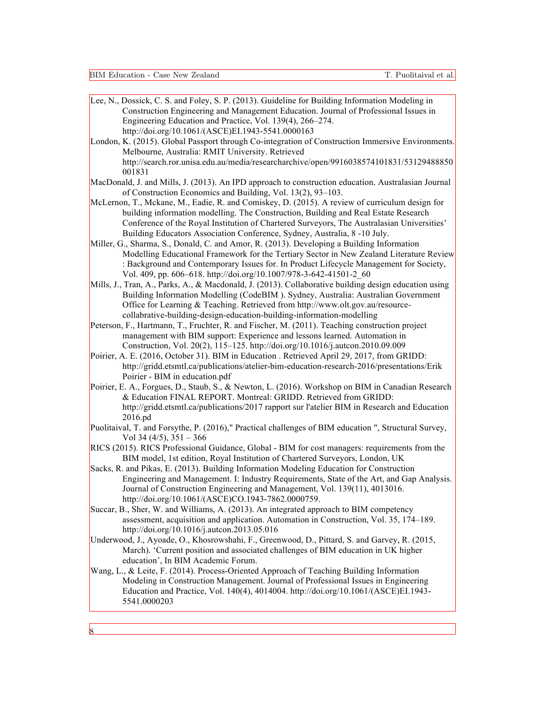BIM Education - Case New Zealand T. Puolitaival et al.

| Lee, N., Dossick, C. S. and Foley, S. P. (2013). Guideline for Building Information Modeling in         |
|---------------------------------------------------------------------------------------------------------|
| Construction Engineering and Management Education. Journal of Professional Issues in                    |
| Engineering Education and Practice, Vol. 139(4), 266–274.                                               |
| http://doi.org/10.1061/(ASCE)EI.1943-5541.0000163                                                       |
| London, K. (2015). Global Passport through Co-integration of Construction Immersive Environments.       |
| Melbourne, Australia: RMIT University. Retrieved                                                        |
| http://search.ror.unisa.edu.au/media/researcharchive/open/9916038574101831/53129488850                  |
| 001831                                                                                                  |
| MacDonald, J. and Mills, J. (2013). An IPD approach to construction education. Australasian Journal     |
| of Construction Economics and Building, Vol. 13(2), 93-103.                                             |
| McLernon, T., Mckane, M., Eadie, R. and Comiskey, D. (2015). A review of curriculum design for          |
| building information modelling. The Construction, Building and Real Estate Research                     |
| Conference of the Royal Institution of Chartered Surveyors, The Australasian Universities'              |
| Building Educators Association Conference, Sydney, Australia, 8 -10 July.                               |
| Miller, G., Sharma, S., Donald, C. and Amor, R. (2013). Developing a Building Information               |
| Modelling Educational Framework for the Tertiary Sector in New Zealand Literature Review                |
| : Background and Contemporary Issues for. In Product Lifecycle Management for Society,                  |
| Vol. 409, pp. 606-618. http://doi.org/10.1007/978-3-642-41501-2 60                                      |
| Mills, J., Tran, A., Parks, A., & Macdonald, J. (2013). Collaborative building design education using   |
| Building Information Modelling (CodeBIM). Sydney, Australia: Australian Government                      |
| Office for Learning & Teaching. Retrieved from http://www.olt.gov.au/resource-                          |
| collabrative-building-design-education-building-information-modelling                                   |
| Peterson, F., Hartmann, T., Fruchter, R. and Fischer, M. (2011). Teaching construction project          |
| management with BIM support: Experience and lessons learned. Automation in                              |
| Construction, Vol. 20(2), 115-125. http://doi.org/10.1016/j.autcon.2010.09.009                          |
| Poirier, A. E. (2016, October 31). BIM in Education . Retrieved April 29, 2017, from GRIDD:             |
| http://gridd.etsmtl.ca/publications/atelier-bim-education-research-2016/presentations/Erik              |
| Poirier - BIM in education.pdf                                                                          |
| Poirier, E. A., Forgues, D., Staub, S., & Newton, L. (2016). Workshop on BIM in Canadian Research       |
| & Education FINAL REPORT. Montreal: GRIDD. Retrieved from GRIDD:                                        |
| http://gridd.etsmtl.ca/publications/2017 rapport sur l'atelier BIM in Research and Education<br>2016.pd |
| Puolitaival, T. and Forsythe, P. (2016)," Practical challenges of BIM education ", Structural Survey,   |
| Vol 34 (4/5), $351 - 366$                                                                               |
| RICS (2015). RICS Professional Guidance, Global - BIM for cost managers: requirements from the          |
| BIM model, 1st edition, Royal Institution of Chartered Surveyors, London, UK                            |
| Sacks, R. and Pikas, E. (2013). Building Information Modeling Education for Construction                |
| Engineering and Management. I: Industry Requirements, State of the Art, and Gap Analysis.               |
| Journal of Construction Engineering and Management, Vol. 139(11), 4013016.                              |
| http://doi.org/10.1061/(ASCE)CO.1943-7862.0000759.                                                      |
| Succar, B., Sher, W. and Williams, A. (2013). An integrated approach to BIM competency                  |
| assessment, acquisition and application. Automation in Construction, Vol. 35, 174–189.                  |
| http://doi.org/10.1016/j.auteon.2013.05.016                                                             |
| Underwood, J., Ayoade, O., Khosrowshahi, F., Greenwood, D., Pittard, S. and Garvey, R. (2015,           |
| March). 'Current position and associated challenges of BIM education in UK higher                       |
| education', In BIM Academic Forum.                                                                      |
| Wang, L., & Leite, F. (2014). Process-Oriented Approach of Teaching Building Information                |
| Modeling in Construction Management. Journal of Professional Issues in Engineering                      |
| Education and Practice, Vol. 140(4), 4014004. http://doi.org/10.1061/(ASCE)EI.1943-                     |
| 5541.0000203                                                                                            |
|                                                                                                         |
|                                                                                                         |
| 8                                                                                                       |